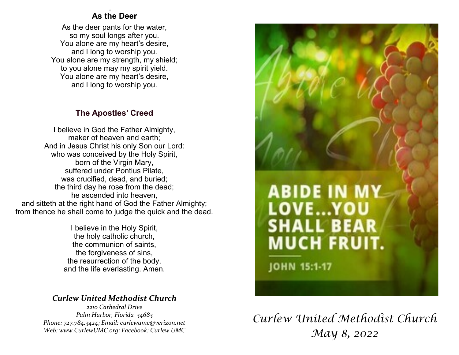## . **As the Deer**

As the deer pants for the water, so my soul longs after you. You alone are my heart's desire, and I long to worship you. You alone are my strength, my shield; to you alone may my spirit yield. You alone are my heart's desire, and I long to worship you.

### **The Apostles' Creed**

I believe in God the Father Almighty, maker of heaven and earth; And in Jesus Christ his only Son our Lord: who was conceived by the Holy Spirit, born of the Virgin Mary, suffered under Pontius Pilate, was crucified, dead, and buried; the third day he rose from the dead; he ascended into heaven, and sitteth at the right hand of God the Father Almighty; from thence he shall come to judge the quick and the dead.

> I believe in the Holy Spirit, the holy catholic church, the communion of saints, the forgiveness of sins, the resurrection of the body, and the life everlasting. Amen.

### *Curlew United Methodist Church*

*2210 Cathedral Drive Palm Harbor, Florida 34683 Phone: 727.784.3424; Email: curlewumc@verizon.net Web: www.CurlewUMC.org; Facebook: Curlew UMC*



# *Curlew United Methodist Church May 8, 2022*